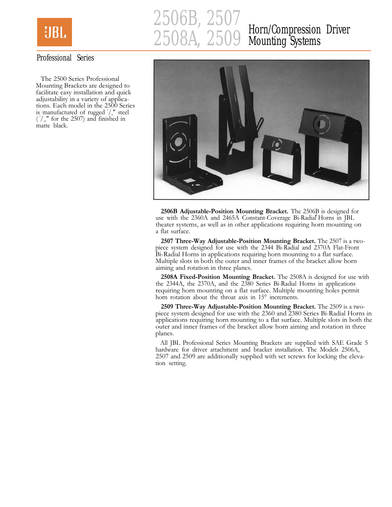

# 2506B, 2507<br>2508A, 2509 2508A, 2509 Horn/Compression Driver Mounting Systems

### Professional Series

The 2500 Series Professional Mounting Brackets are designed to facilitate easy installation and quick adjustability in a variety of applications. Each model in the 2500 Series is manufactured of rugged  $\frac{1}{s}$  steel  $\binom{1}{16}$ " for the 2507) and finished in matte black.



2506B Adjustable-Position Mounting Bracket. The 2506B is designed for use with the 2360A and 2465A Constant-Coverage Bi-Radial Horns in JBL theater systems, as well as in other applications requiring horn mounting on a flat surface.

2507 Three-Way Adjustable-Position Mounting Bracket. The 2507 is a twopiece system designed for use with the 2344 Bi-Radial and 2370A Flat-Front Bi-Radial Horns in applications requiring horn mounting to a flat surface. Multiple slots in both the outer and inner frames of the bracket allow horn aiming and rotation in three planes.

2508A Fixed-Position Mounting Bracket. The 2508A is designed for use with the 2344A, the 2370A, and the 2380 Series Bi-Radial Horns in applications requiring horn mounting on a flat surface. Multiple mounting holes permit horn rotation about the throat axis in 15° increments.

2509 Three-Way Adjustable-Position Mounting Bracket. The 2509 is a twopiece system designed for use with the 2360 and 2380 Series Bi-Radial Horns in applications requiring horn mounting to a flat surface. Multiple slots in both the outer and inner frames of the bracket allow horn aiming and rotation in three planes.

All JBL Professional Series Mounting Brackets are supplied with SAE Grade 5 hardware for driver attachment and bracket installation. The Models 2506A, 2507 and 2509 are additionally supplied with set screws for locking the elevation setting.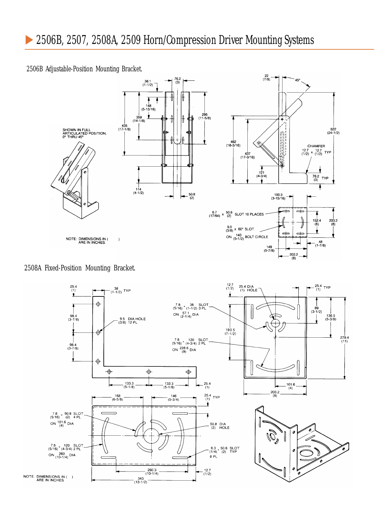#### 2506B Adjustable-Position Mounting Bracket.



#### 2508A Fixed-Position Mounting Bracket.

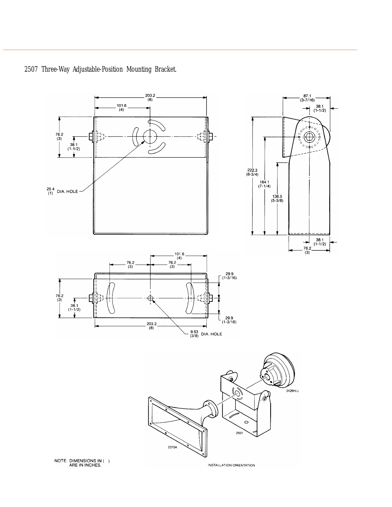

## 2507 Three-Way Adjustable-Position Mounting Bracket.